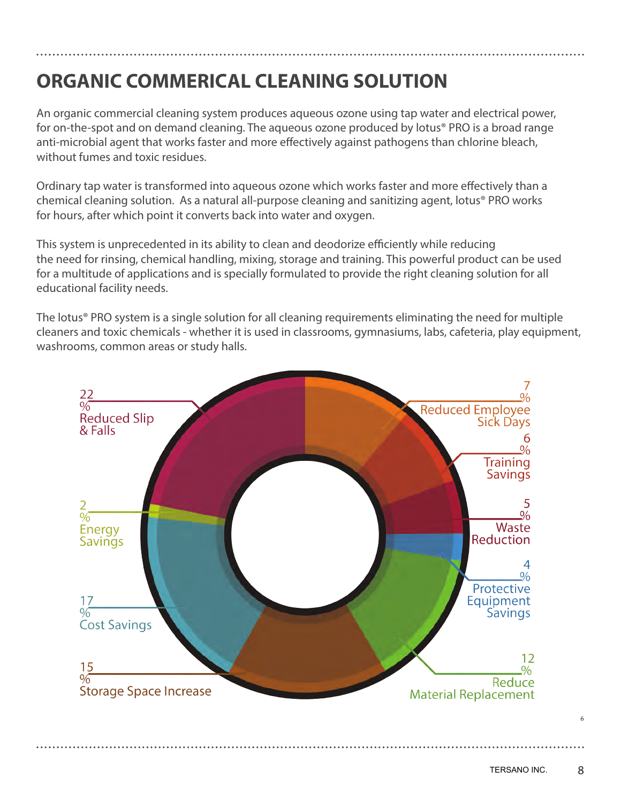# **ORGANIC COMMERICAL CLEANING SOLUTION**

An organic commercial cleaning system produces aqueous ozone using tap water and electrical power, for on-the-spot and on demand cleaning. The aqueous ozone produced by lotus® PRO is a broad range anti-microbial agent that works faster and more effectively against pathogens than chlorine bleach, without fumes and toxic residues.

Ordinary tap water is transformed into aqueous ozone which works faster and more effectively than a chemical cleaning solution. As a natural all-purpose cleaning and sanitizing agent, lotus® PRO works for hours, after which point it converts back into water and oxygen.

This system is unprecedented in its ability to clean and deodorize efficiently while reducing the need for rinsing, chemical handling, mixing, storage and training. This powerful product can be used for a multitude of applications and is specially formulated to provide the right cleaning solution for all educational facility needs.

The lotus<sup>®</sup> PRO system is a single solution for all cleaning requirements eliminating the need for multiple cleaners and toxic chemicals - whether it is used in classrooms, gymnasiums, labs, cafeteria, play equipment, washrooms, common areas or study halls.



6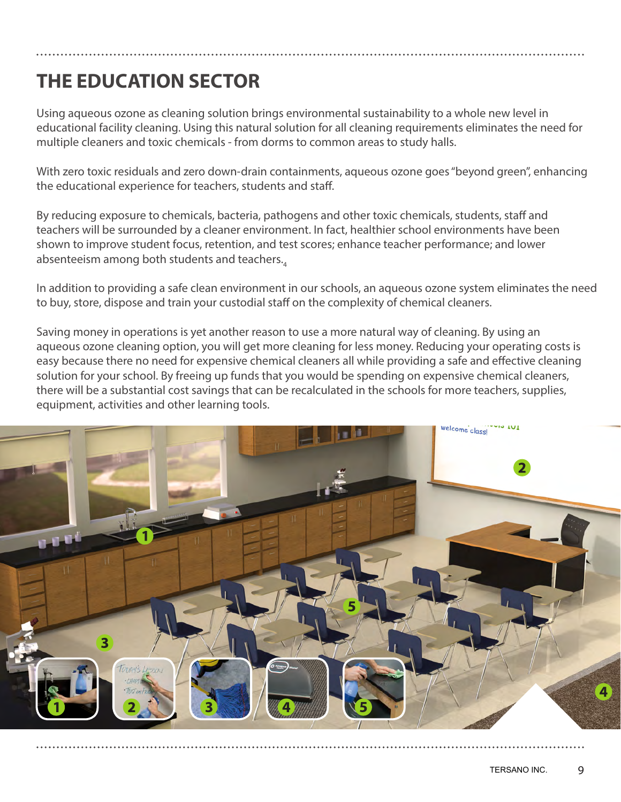# **THE EDUCATION SECTOR**

Using aqueous ozone as cleaning solution brings environmental sustainability to a whole new level in educational facility cleaning. Using this natural solution for all cleaning requirements eliminates the need for multiple cleaners and toxic chemicals - from dorms to common areas to study halls.

With zero toxic residuals and zero down-drain containments, aqueous ozone goes "beyond green", enhancing the educational experience for teachers, students and staff.

By reducing exposure to chemicals, bacteria, pathogens and other toxic chemicals, students, staff and teachers will be surrounded by a cleaner environment. In fact, healthier school environments have been shown to improve student focus, retention, and test scores; enhance teacher performance; and lower absenteeism among both students and teachers. $_4$ 

In addition to providing a safe clean environment in our schools, an aqueous ozone system eliminates the need to buy, store, dispose and train your custodial staff on the complexity of chemical cleaners.

Saving money in operations is yet another reason to use a more natural way of cleaning. By using an aqueous ozone cleaning option, you will get more cleaning for less money. Reducing your operating costs is easy because there no need for expensive chemical cleaners all while providing a safe and effective cleaning solution for your school. By freeing up funds that you would be spending on expensive chemical cleaners, there will be a substantial cost savings that can be recalculated in the schools for more teachers, supplies, equipment, activities and other learning tools.

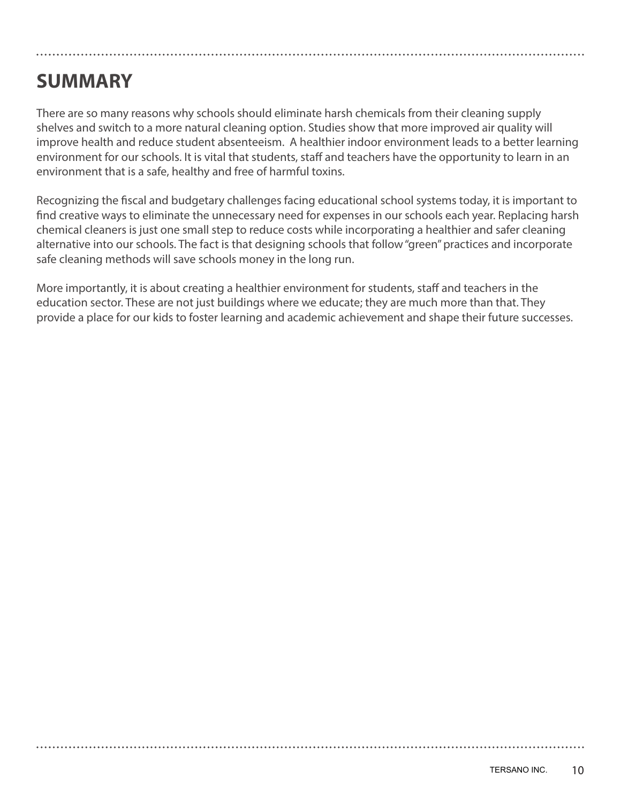## **SUMMARY**

There are so many reasons why schools should eliminate harsh chemicals from their cleaning supply shelves and switch to a more natural cleaning option. Studies show that more improved air quality will improve health and reduce student absenteeism. A healthier indoor environment leads to a better learning environment for our schools. It is vital that students, staff and teachers have the opportunity to learn in an environment that is a safe, healthy and free of harmful toxins.

Recognizing the fiscal and budgetary challenges facing educational school systems today, it is important to find creative ways to eliminate the unnecessary need for expenses in our schools each year. Replacing harsh chemical cleaners is just one small step to reduce costs while incorporating a healthier and safer cleaning alternative into our schools. The fact is that designing schools that follow "green" practices and incorporate safe cleaning methods will save schools money in the long run.

More importantly, it is about creating a healthier environment for students, staff and teachers in the education sector. These are not just buildings where we educate; they are much more than that. They provide a place for our kids to foster learning and academic achievement and shape their future successes.